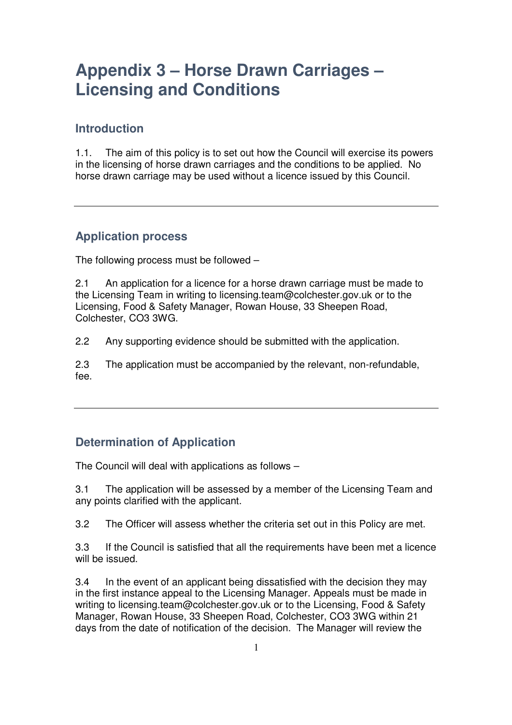### **Introduction**

1.1. The aim of this policy is to set out how the Council will exercise its powers in the licensing of horse drawn carriages and the conditions to be applied. No horse drawn carriage may be used without a licence issued by this Council.

#### **Application process**

The following process must be followed –

2.1 An application for a licence for a horse drawn carriage must be made to the Licensing Team in writing to licensing.team@colchester.gov.uk or to the Licensing, Food & Safety Manager, Rowan House, 33 Sheepen Road, Colchester, CO3 3WG.

2.2 Any supporting evidence should be submitted with the application.

2.3 The application must be accompanied by the relevant, non-refundable, fee.

### **Determination of Application**

The Council will deal with applications as follows –

3.1 The application will be assessed by a member of the Licensing Team and any points clarified with the applicant.

3.2 The Officer will assess whether the criteria set out in this Policy are met.

3.3 If the Council is satisfied that all the requirements have been met a licence will be issued.

3.4 In the event of an applicant being dissatisfied with the decision they may in the first instance appeal to the Licensing Manager. Appeals must be made in writing to licensing.team@colchester.gov.uk or to the Licensing, Food & Safety Manager, Rowan House, 33 Sheepen Road, Colchester, CO3 3WG within 21 days from the date of notification of the decision. The Manager will review the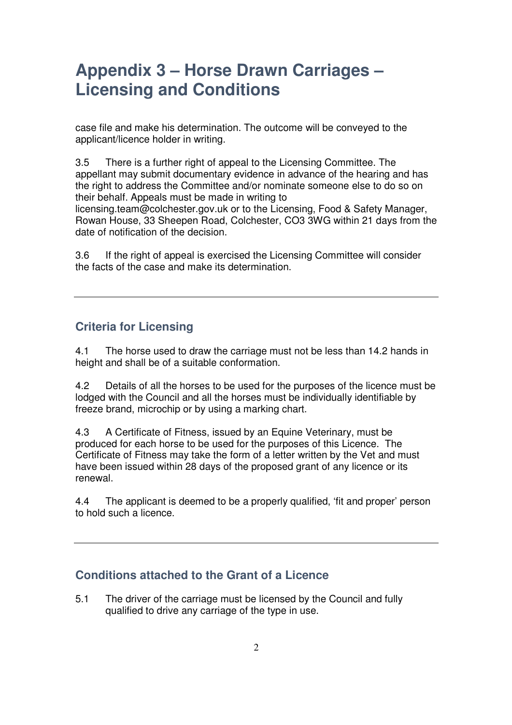case file and make his determination. The outcome will be conveyed to the applicant/licence holder in writing.

3.5 There is a further right of appeal to the Licensing Committee. The appellant may submit documentary evidence in advance of the hearing and has the right to address the Committee and/or nominate someone else to do so on their behalf. Appeals must be made in writing to licensing.team@colchester.gov.uk or to the Licensing, Food & Safety Manager, Rowan House, 33 Sheepen Road, Colchester, CO3 3WG within 21 days from the date of notification of the decision.

3.6 If the right of appeal is exercised the Licensing Committee will consider the facts of the case and make its determination.

### **Criteria for Licensing**

4.1 The horse used to draw the carriage must not be less than 14.2 hands in height and shall be of a suitable conformation.

4.2 Details of all the horses to be used for the purposes of the licence must be lodged with the Council and all the horses must be individually identifiable by freeze brand, microchip or by using a marking chart.

4.3 A Certificate of Fitness, issued by an Equine Veterinary, must be produced for each horse to be used for the purposes of this Licence. The Certificate of Fitness may take the form of a letter written by the Vet and must have been issued within 28 days of the proposed grant of any licence or its renewal.

4.4 The applicant is deemed to be a properly qualified, 'fit and proper' person to hold such a licence.

#### **Conditions attached to the Grant of a Licence**

5.1 The driver of the carriage must be licensed by the Council and fully qualified to drive any carriage of the type in use.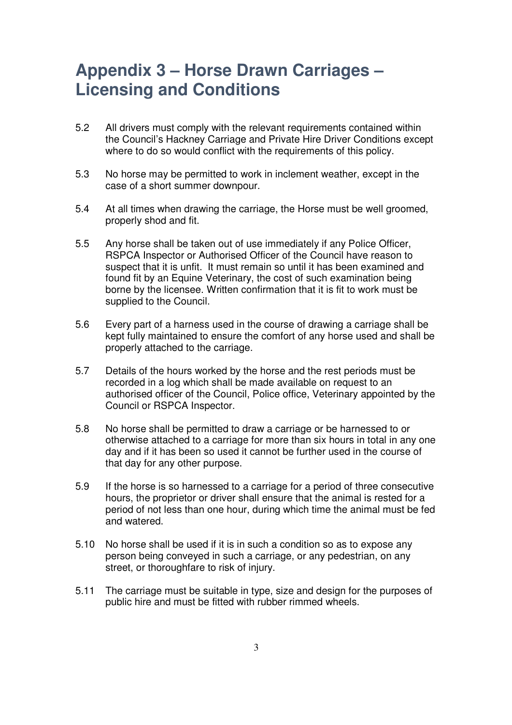- 5.2 All drivers must comply with the relevant requirements contained within the Council's Hackney Carriage and Private Hire Driver Conditions except where to do so would conflict with the requirements of this policy.
- 5.3 No horse may be permitted to work in inclement weather, except in the case of a short summer downpour.
- 5.4 At all times when drawing the carriage, the Horse must be well groomed, properly shod and fit.
- 5.5 Any horse shall be taken out of use immediately if any Police Officer, RSPCA Inspector or Authorised Officer of the Council have reason to suspect that it is unfit. It must remain so until it has been examined and found fit by an Equine Veterinary, the cost of such examination being borne by the licensee. Written confirmation that it is fit to work must be supplied to the Council.
- 5.6 Every part of a harness used in the course of drawing a carriage shall be kept fully maintained to ensure the comfort of any horse used and shall be properly attached to the carriage.
- 5.7 Details of the hours worked by the horse and the rest periods must be recorded in a log which shall be made available on request to an authorised officer of the Council, Police office, Veterinary appointed by the Council or RSPCA Inspector.
- 5.8 No horse shall be permitted to draw a carriage or be harnessed to or otherwise attached to a carriage for more than six hours in total in any one day and if it has been so used it cannot be further used in the course of that day for any other purpose.
- 5.9 If the horse is so harnessed to a carriage for a period of three consecutive hours, the proprietor or driver shall ensure that the animal is rested for a period of not less than one hour, during which time the animal must be fed and watered.
- 5.10 No horse shall be used if it is in such a condition so as to expose any person being conveyed in such a carriage, or any pedestrian, on any street, or thoroughfare to risk of injury.
- 5.11 The carriage must be suitable in type, size and design for the purposes of public hire and must be fitted with rubber rimmed wheels.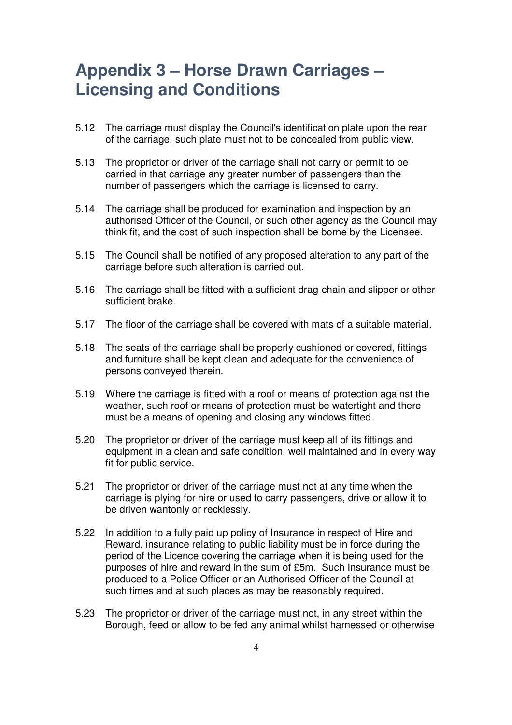- 5.12 The carriage must display the Council's identification plate upon the rear of the carriage, such plate must not to be concealed from public view.
- 5.13 The proprietor or driver of the carriage shall not carry or permit to be carried in that carriage any greater number of passengers than the number of passengers which the carriage is licensed to carry.
- 5.14 The carriage shall be produced for examination and inspection by an authorised Officer of the Council, or such other agency as the Council may think fit, and the cost of such inspection shall be borne by the Licensee.
- 5.15 The Council shall be notified of any proposed alteration to any part of the carriage before such alteration is carried out.
- 5.16 The carriage shall be fitted with a sufficient drag-chain and slipper or other sufficient brake.
- 5.17 The floor of the carriage shall be covered with mats of a suitable material.
- 5.18 The seats of the carriage shall be properly cushioned or covered, fittings and furniture shall be kept clean and adequate for the convenience of persons conveyed therein.
- 5.19 Where the carriage is fitted with a roof or means of protection against the weather, such roof or means of protection must be watertight and there must be a means of opening and closing any windows fitted.
- 5.20 The proprietor or driver of the carriage must keep all of its fittings and equipment in a clean and safe condition, well maintained and in every way fit for public service.
- 5.21 The proprietor or driver of the carriage must not at any time when the carriage is plying for hire or used to carry passengers, drive or allow it to be driven wantonly or recklessly.
- 5.22 In addition to a fully paid up policy of Insurance in respect of Hire and Reward, insurance relating to public liability must be in force during the period of the Licence covering the carriage when it is being used for the purposes of hire and reward in the sum of £5m. Such Insurance must be produced to a Police Officer or an Authorised Officer of the Council at such times and at such places as may be reasonably required.
- 5.23 The proprietor or driver of the carriage must not, in any street within the Borough, feed or allow to be fed any animal whilst harnessed or otherwise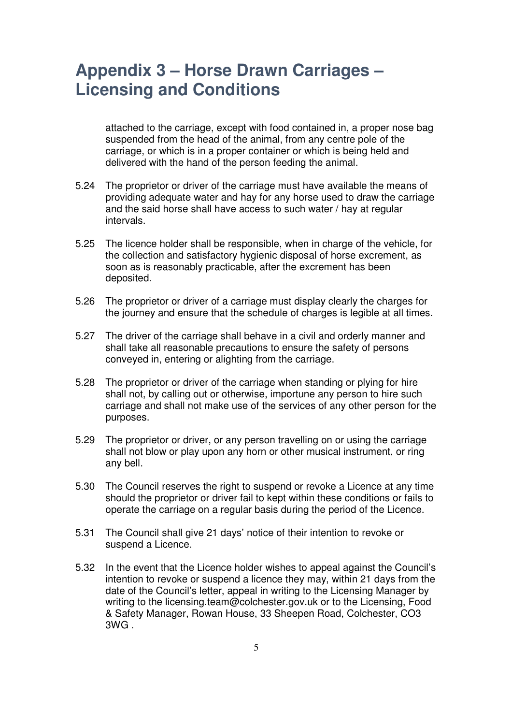attached to the carriage, except with food contained in, a proper nose bag suspended from the head of the animal, from any centre pole of the carriage, or which is in a proper container or which is being held and delivered with the hand of the person feeding the animal.

- 5.24 The proprietor or driver of the carriage must have available the means of providing adequate water and hay for any horse used to draw the carriage and the said horse shall have access to such water / hay at regular intervals.
- 5.25 The licence holder shall be responsible, when in charge of the vehicle, for the collection and satisfactory hygienic disposal of horse excrement, as soon as is reasonably practicable, after the excrement has been deposited.
- 5.26 The proprietor or driver of a carriage must display clearly the charges for the journey and ensure that the schedule of charges is legible at all times.
- 5.27 The driver of the carriage shall behave in a civil and orderly manner and shall take all reasonable precautions to ensure the safety of persons conveyed in, entering or alighting from the carriage.
- 5.28 The proprietor or driver of the carriage when standing or plying for hire shall not, by calling out or otherwise, importune any person to hire such carriage and shall not make use of the services of any other person for the purposes.
- 5.29 The proprietor or driver, or any person travelling on or using the carriage shall not blow or play upon any horn or other musical instrument, or ring any bell.
- 5.30 The Council reserves the right to suspend or revoke a Licence at any time should the proprietor or driver fail to kept within these conditions or fails to operate the carriage on a regular basis during the period of the Licence.
- 5.31 The Council shall give 21 days' notice of their intention to revoke or suspend a Licence.
- 5.32 In the event that the Licence holder wishes to appeal against the Council's intention to revoke or suspend a licence they may, within 21 days from the date of the Council's letter, appeal in writing to the Licensing Manager by writing to the licensing.team@colchester.gov.uk or to the Licensing, Food & Safety Manager, Rowan House, 33 Sheepen Road, Colchester, CO3 3WG .